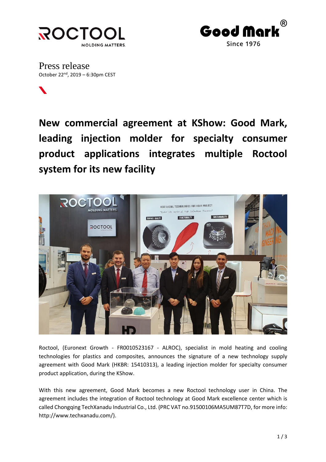



Press release October 22<sup>nd</sup>, 2019 – 6:30pm CEST

**New commercial agreement at KShow: Good Mark, leading injection molder for specialty consumer product applications integrates multiple Roctool system for its new facility**



Roctool, (Euronext Growth - FR0010523167 - ALROC), specialist in mold heating and cooling technologies for plastics and composites, announces the signature of a new technology supply agreement with Good Mark (HKBR: 15410313), a leading injection molder for specialty consumer product application, during the KShow.

With this new agreement, Good Mark becomes a new Roctool technology user in China. The agreement includes the integration of Roctool technology at Good Mark excellence center which is called Chongqing TechXanadu Industrial Co., Ltd. (PRC VAT no.91500106MA5UM87T7D, for more info: [http://www.techxanadu.com/\)](http://www.techxanadu.com/).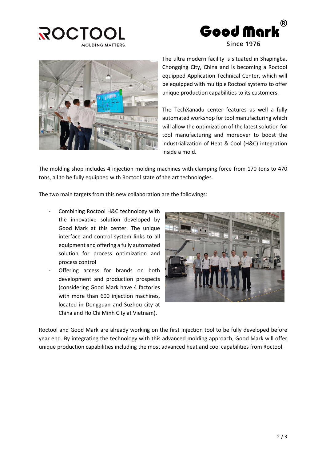





The ultra modern facility is situated in Shapingba, Chongqing City, China and is becoming a Roctool equipped Application Technical Center, which will be equipped with multiple Roctool systems to offer unique production capabilities to its customers.

The TechXanadu center features as well a fully automated workshop for tool manufacturing which will allow the optimization of the latest solution for tool manufacturing and moreover to boost the industrialization of Heat & Cool (H&C) integration inside a mold.

The molding shop includes 4 injection molding machines with clamping force from 170 tons to 470 tons, all to be fully equipped with Roctool state of the art technologies.

The two main targets from this new collaboration are the followings:

- Combining Roctool H&C technology with the innovative solution developed by Good Mark at this center. The unique interface and control system links to all equipment and offering a fully automated solution for process optimization and process control
- Offering access for brands on both development and production prospects (considering Good Mark have 4 factories with more than 600 injection machines, located in Dongguan and Suzhou city at China and Ho Chi Minh City at Vietnam).



Roctool and Good Mark are already working on the first injection tool to be fully developed before year end. By integrating the technology with this advanced molding approach, Good Mark will offer unique production capabilities including the most advanced heat and cool capabilities from Roctool.